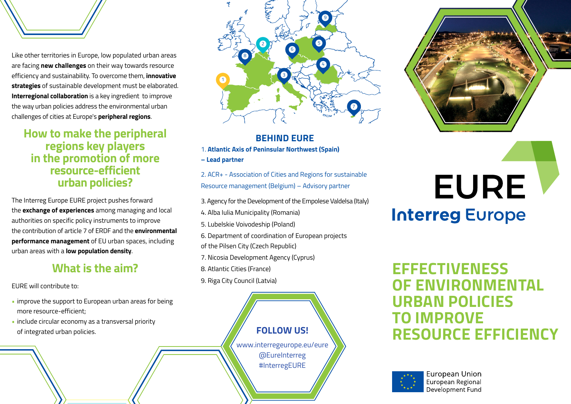Like other territories in Europe, low populated urban areas are facing **new challenges** on their way towards resource efficiency and sustainability. To overcome them, **innovative strategies** of sustainable development must be elaborated. **Interregional collaboration** is a key ingredient to improve the way urban policies address the environmental urban challenges of cities at Europe's **peripheral regions**.

## **How to make the peripheral regions key players in the promotion of more resource-efficient urban policies?**

The Interreg Europe EURE project pushes forward the **exchange of experiences** among managing and local authorities on specific policy instruments to improve the contribution of article 7 of ERDF and the **environmental performance management** of EU urban spaces, including urban areas with a **low population density**.

## **What is the aim?**

EURE will contribute to:

- improve the support to European urban areas for being more resource-efficient;
- include circular economy as a transversal priority of integrated urban policies.



## **BEHIND EURE**

- 1. **Atlantic Axis of Peninsular Northwest (Spain)**
- **Lead partner**
- 2. ACR+ Association of Cities and Regions for sustainable Resource management (Belgium) – Advisory partner
- 3. Agency for the Development of the Empolese Valdelsa (Italy)
- 4. Alba Iulia Municipality (Romania)
- 5. Lubelskie Voivodeship (Poland)
- 6. Department of coordination of European projects
- of the Pilsen City (Czech Republic)
- 7. Nicosia Development Agency (Cyprus)
- 8. Atlantic Cities (France)
- 9. Riga City Council (Latvia)





# **EURE Interreg Europe**

**EFFECTIVENESS OF ENVIRONMENTAL URBAN POLICIES TO IMPROVE RESOURCE EFFICIENCY**